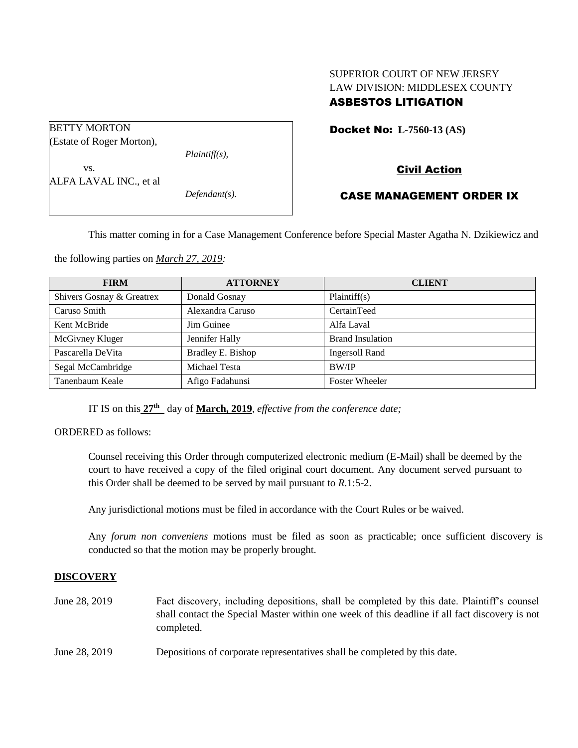## SUPERIOR COURT OF NEW JERSEY LAW DIVISION: MIDDLESEX COUNTY ASBESTOS LITIGATION

|  | <b>Docket No: L-7560-13 (AS)</b> |
|--|----------------------------------|
|--|----------------------------------|

(Estate of Roger Morton),

BETTY MORTON

vs.

*Plaintiff(s),*

ALFA LAVAL INC., et al

*Defendant(s).*

# Civil Action

## CASE MANAGEMENT ORDER IX

This matter coming in for a Case Management Conference before Special Master Agatha N. Dzikiewicz and

the following parties on *March 27, 2019:*

| <b>FIRM</b>               | <b>ATTORNEY</b>   | <b>CLIENT</b>           |
|---------------------------|-------------------|-------------------------|
| Shivers Gosnay & Greatrex | Donald Gosnay     | Plaintiff(s)            |
| Caruso Smith              | Alexandra Caruso  | CertainTeed             |
| Kent McBride              | Jim Guinee        | Alfa Laval              |
| McGivney Kluger           | Jennifer Hally    | <b>Brand Insulation</b> |
| Pascarella DeVita         | Bradley E. Bishop | <b>Ingersoll Rand</b>   |
| Segal McCambridge         | Michael Testa     | <b>BW/IP</b>            |
| Tanenbaum Keale           | Afigo Fadahunsi   | <b>Foster Wheeler</b>   |

IT IS on this **27th** day of **March, 2019**, *effective from the conference date;*

ORDERED as follows:

Counsel receiving this Order through computerized electronic medium (E-Mail) shall be deemed by the court to have received a copy of the filed original court document. Any document served pursuant to this Order shall be deemed to be served by mail pursuant to *R*.1:5-2.

Any jurisdictional motions must be filed in accordance with the Court Rules or be waived.

Any *forum non conveniens* motions must be filed as soon as practicable; once sufficient discovery is conducted so that the motion may be properly brought.

## **DISCOVERY**

- June 28, 2019 Fact discovery, including depositions, shall be completed by this date. Plaintiff's counsel shall contact the Special Master within one week of this deadline if all fact discovery is not completed.
- June 28, 2019 Depositions of corporate representatives shall be completed by this date.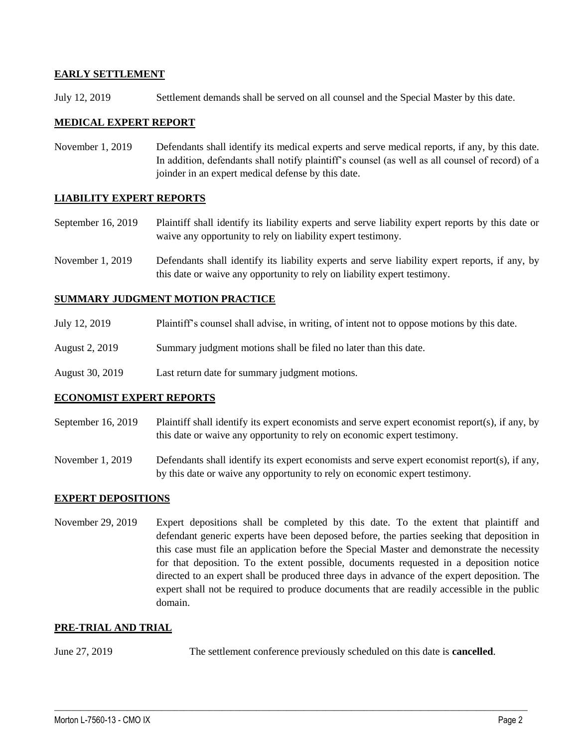### **EARLY SETTLEMENT**

July 12, 2019 Settlement demands shall be served on all counsel and the Special Master by this date.

#### **MEDICAL EXPERT REPORT**

November 1, 2019 Defendants shall identify its medical experts and serve medical reports, if any, by this date. In addition, defendants shall notify plaintiff's counsel (as well as all counsel of record) of a joinder in an expert medical defense by this date.

## **LIABILITY EXPERT REPORTS**

September 16, 2019 Plaintiff shall identify its liability experts and serve liability expert reports by this date or waive any opportunity to rely on liability expert testimony.

November 1, 2019 Defendants shall identify its liability experts and serve liability expert reports, if any, by this date or waive any opportunity to rely on liability expert testimony.

### **SUMMARY JUDGMENT MOTION PRACTICE**

- July 12, 2019 Plaintiff's counsel shall advise, in writing, of intent not to oppose motions by this date.
- August 2, 2019 Summary judgment motions shall be filed no later than this date.
- August 30, 2019 Last return date for summary judgment motions.

#### **ECONOMIST EXPERT REPORTS**

- September 16, 2019 Plaintiff shall identify its expert economists and serve expert economist report(s), if any, by this date or waive any opportunity to rely on economic expert testimony.
- November 1, 2019 Defendants shall identify its expert economists and serve expert economist report(s), if any, by this date or waive any opportunity to rely on economic expert testimony.

#### **EXPERT DEPOSITIONS**

November 29, 2019 Expert depositions shall be completed by this date. To the extent that plaintiff and defendant generic experts have been deposed before, the parties seeking that deposition in this case must file an application before the Special Master and demonstrate the necessity for that deposition. To the extent possible, documents requested in a deposition notice directed to an expert shall be produced three days in advance of the expert deposition. The expert shall not be required to produce documents that are readily accessible in the public domain.

#### **PRE-TRIAL AND TRIAL**

June 27, 2019 The settlement conference previously scheduled on this date is **cancelled**.

 $\_$  ,  $\_$  ,  $\_$  ,  $\_$  ,  $\_$  ,  $\_$  ,  $\_$  ,  $\_$  ,  $\_$  ,  $\_$  ,  $\_$  ,  $\_$  ,  $\_$  ,  $\_$  ,  $\_$  ,  $\_$  ,  $\_$  ,  $\_$  ,  $\_$  ,  $\_$  ,  $\_$  ,  $\_$  ,  $\_$  ,  $\_$  ,  $\_$  ,  $\_$  ,  $\_$  ,  $\_$  ,  $\_$  ,  $\_$  ,  $\_$  ,  $\_$  ,  $\_$  ,  $\_$  ,  $\_$  ,  $\_$  ,  $\_$  ,